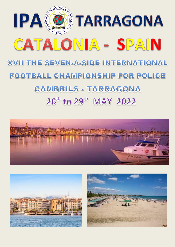





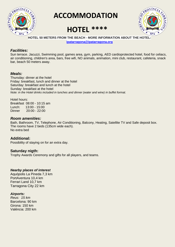

 **ACCOMMODATION**

# **HOTEL \*\*\*\***



### **HOTEL 50 METERS FROM THE BEACH - MORE INFORMATION ABOUT THE HOTEL:**

**[ipatarragona@ipatarragona.org](mailto:ipatarragona@ipatarragona.org)**

### *Facilities:*

Sun terrace. Jacuzzi, Swimming pool, games area, gym, parking, AED cardioprotected hotel, food for celiacs, air conditioning, children's area, bars, free wifi, NO animals, animation, mini club, restaurant, cafeteria, snack bar, beach 50 meters away.

### *Meals:*

Thursday: dinner at the hotel Friday: breakfast, lunch and dinner at the hotel Saturday: breakfast and lunch at the hotel Sunday: breakfast at the hotel *Note: in the Hotel drinks included in lunches and dinner (water and wine) in buffet format.* 

Hotel hours: Breakfast 08:00 - 10:15 am Lunch: 13:00 - 15:00 Dinner 20:00 - 22:00

### *Room amenities:*

Bath, Bathroom, TV, Telephone, Air Conditioning, Balcony, Heating, Satellite TV and Safe deposit box. The rooms have 2 beds (135cm wide each). No extra bed

### **Additional:**

Possibility of staying on for an extra day.

**Saturday nigth:**  Trophy Awards Ceremony and gifts for all players, and teams.

### *Nearby places of interest*

Aquópolis La Pineda 7,3 km PortAventura 10,4 km Ferrari Land 10,7 km Tarragona City 22 km

### *Airports:*

*Reus: 15 km* Barcelona: 90 km Girona: 150 km Valéncia: 200 km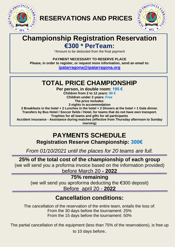

**RESERVATIONS AND PRICES** 



# **Championship Registration Reservation €300 \* PerTeam:**

\*Amount to be deducted from the final payment

**PAYMENT NECESSARY TO RESERVE PLACE Please, in order to register, or request more information, send an email to: [ipatarragona@ipatarragona.org](mailto:ipatarragona@ipatarragona.org)**

## **TOTAL PRICE CHAMPIONSHIP**

**Per person, in double room: 195 € Children from 2 to 12 years: 90 € Children under 2 years: Free The price includes:**

**3 nights in accommodation**

**3 Breakfasts in the hotel + 2 Lunches in the hotel + 2 Dinners at the hotel + 1 Gala dinner. Transfers by Bus Hotel / Soccer fields / Hotel, for teams that do not have own transport. Trophies for all teams and gifts for all participants**

**Accident insurance - Assistance during matches (effective from Thursday afternoon to Sunday morning**)

# **PAYMENTS SCHEDULE**

**Registration Reserve Championship: 300€**

*From 01/10/2021 until the places for 20 teams are full.*

### **25% of the total cost of the championship of each group**

(we will send you a proforma invoice based on the information provided)

before March 20 **- 2022**

**75% remaining** 

(we will send you aproforma deducting the €300 deposit) Before april 20 - **2022**

## **Cancellation conditions:**

The cancellation of the reservation of the entire team, entails the loss of: From the 30 days before the tournament: 25% From the 15 days before the tournament: 50%

The partial cancellation of the equipment (less than 75% of the reservations), is free up

to 10 days before.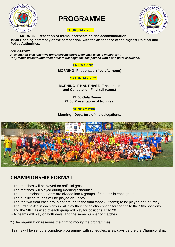

# **PROGRAMME**



### **THURSDAY 26th**

**MORNING: Reception of teams, accreditation and accommodation 19:30 Opening ceremony of the competition, with the attendance of the highest Political and Police Authorities.** 

#### **OBLIGATORY:**

*A delegation of at least two uniformed members from each team is mandatory . \*Any teams without uniformed officers will begin the competition with a one point deduction.*

### **FRIDAY 27th**

**MORNING- First phase (free afternoon)**

 **SATURDAY 28th**

**MORNING- FINAL PHASE Final phase and Consolation Final (all teams)**

**21:00 Gala Dinner 21:30 Presentation of trophies.** 

### **SUNDAY 29th**

**Morning - Departure of the delegations.**



### **CHAMPIONSHIP FORMAT**

- .- The matches will be played on artificial grass.
- . -The matches will played during morning schedules.
- .- The 20 participating teams are divided into 4 groups of 5 teams in each group.
- .- The qualifying rounds will be played on Friday.
- .- The top two from each group go through to the final stage (8 teams) to be played on Saturday.
- The 3rd and 4th in each group will play their consolation phase for the 9th to the 16th positions and the 5th classified of each group will play for positions 17 to 20..
- .- All teams will play on both days, and the same number of matches.
- \* (The organization reserves the right to modify the programme).

Teams will be sent the complete programme, with schedules, a few days before the Championship.